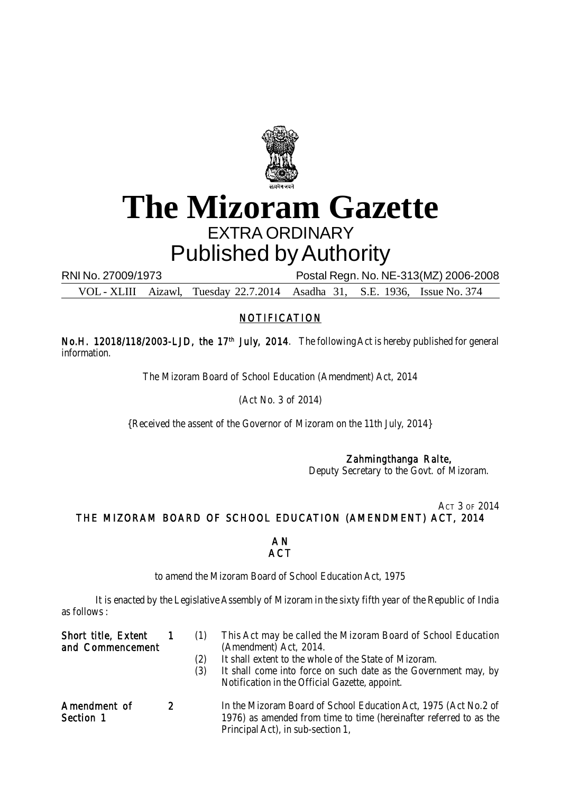

## **The Mizoram Gazette** EXTRA ORDINARY Published by Authority

RNI No. 27009/1973 Postal Regn. No. NE-313(MZ) 2006-2008

VOL - XLIII Aizawl, Tuesday 22.7.2014 Asadha 31, S.E. 1936, Issue No. 374

## NOTIFICATION

No.H. 12018/118/2003-LJD, the 17<sup>th</sup> July, 2014. The following Act is hereby published for general information.

The Mizoram Board of School Education (Amendment) Act, 2014

(Act No. 3 of 2014)

{Received the assent of the Governor of Mizoram on the 11th July, 2014}

## Zahmingthanga Ralte,

Deputy Secretary to the Govt. of Mizoram.

ACT 3 OF 2014 THE MIZORAM BOARD OF SCHOOL EDUCATION (AMENDMENT) ACT, 2014

## A N **ACT**

to amend the Mizoram Board of School Education Act, 1975

It is enacted by the Legislative Assembly of Mizoram in the sixty fifth year of the Republic of India as follows :

| <b>Short title, Extent</b><br>and Commencement |               | (1)<br>(2)<br>(3) | This Act may be called the Mizoram Board of School Education<br>(Amendment) Act, 2014.<br>It shall extent to the whole of the State of Mizoram.<br>It shall come into force on such date as the Government may, by<br>Notification in the Official Gazette, appoint. |
|------------------------------------------------|---------------|-------------------|----------------------------------------------------------------------------------------------------------------------------------------------------------------------------------------------------------------------------------------------------------------------|
| Amendment of<br>Section 1                      | $\mathcal{P}$ |                   | In the Mizoram Board of School Education Act, 1975 (Act No.2 of<br>1976) as amended from time to time (hereinafter referred to as the<br>Principal Act), in sub-section 1,                                                                                           |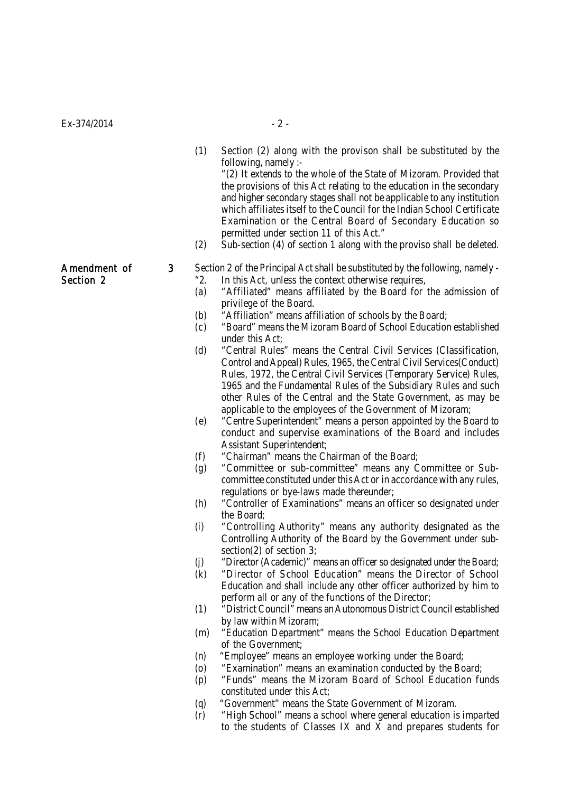| Ex-374/2014               |                                                                                                                                        | $-2-$                                                                                                                                                                                                                                                                                                                                                                                                                                                                                                                                                                                                                                                                                                                                                                                                                                                                                                                                                                                                                                                                                                                                                                                                                                                                                                                                                                                                                                                                                                                                                                                                                                                                                                                                                                                                                                                                                                                                                                                                                                                                                                                                                                                                                                                                                                                                          |
|---------------------------|----------------------------------------------------------------------------------------------------------------------------------------|------------------------------------------------------------------------------------------------------------------------------------------------------------------------------------------------------------------------------------------------------------------------------------------------------------------------------------------------------------------------------------------------------------------------------------------------------------------------------------------------------------------------------------------------------------------------------------------------------------------------------------------------------------------------------------------------------------------------------------------------------------------------------------------------------------------------------------------------------------------------------------------------------------------------------------------------------------------------------------------------------------------------------------------------------------------------------------------------------------------------------------------------------------------------------------------------------------------------------------------------------------------------------------------------------------------------------------------------------------------------------------------------------------------------------------------------------------------------------------------------------------------------------------------------------------------------------------------------------------------------------------------------------------------------------------------------------------------------------------------------------------------------------------------------------------------------------------------------------------------------------------------------------------------------------------------------------------------------------------------------------------------------------------------------------------------------------------------------------------------------------------------------------------------------------------------------------------------------------------------------------------------------------------------------------------------------------------------------|
|                           | (1)<br>(2)                                                                                                                             | Section (2) along with the provison shall be substituted by the<br>following, namely :-<br>"(2) It extends to the whole of the State of Mizoram. Provided that<br>the provisions of this Act relating to the education in the secondary<br>and higher secondary stages shall not be applicable to any institution<br>which affiliates itself to the Council for the Indian School Certificate<br>Examination or the Central Board of Secondary Education so<br>permitted under section 11 of this Act."<br>Sub-section (4) of section 1 along with the proviso shall be deleted.                                                                                                                                                                                                                                                                                                                                                                                                                                                                                                                                                                                                                                                                                                                                                                                                                                                                                                                                                                                                                                                                                                                                                                                                                                                                                                                                                                                                                                                                                                                                                                                                                                                                                                                                                               |
| Amendment of<br>Section 2 | 3<br>"2.<br>(a)<br>(b)<br>(c)<br>(d)<br>(e)<br>(f)<br>(g)<br>(h)<br>(i)<br>(j)<br>(k)<br>(1)<br>(m)<br>(n)<br>(0)<br>(p)<br>(q)<br>(r) | Section 2 of the Principal Act shall be substituted by the following, namely -<br>In this Act, unless the context otherwise requires,<br>"Affiliated" means affiliated by the Board for the admission of<br>privilege of the Board.<br>"Affiliation" means affiliation of schools by the Board;<br>"Board" means the Mizoram Board of School Education established<br>under this Act;<br>"Central Rules" means the Central Civil Services (Classification,<br>Control and Appeal) Rules, 1965, the Central Civil Services (Conduct)<br>Rules, 1972, the Central Civil Services (Temporary Service) Rules,<br>1965 and the Fundamental Rules of the Subsidiary Rules and such<br>other Rules of the Central and the State Government, as may be<br>applicable to the employees of the Government of Mizoram;<br>"Centre Superintendent" means a person appointed by the Board to<br>conduct and supervise examinations of the Board and includes<br>Assistant Superintendent;<br>"Chairman" means the Chairman of the Board;<br>"Committee or sub-committee" means any Committee or Sub-<br>committee constituted under this Act or in accordance with any rules,<br>regulations or bye-laws made thereunder;<br>"Controller of Examinations" means an officer so designated under<br>the Board;<br>"Controlling Authority" means any authority designated as the<br>Controlling Authority of the Board by the Government under sub-<br>section(2) of section $3$ ;<br>"Director (Academic)" means an officer so designated under the Board;<br>"Director of School Education" means the Director of School<br>Education and shall include any other officer authorized by him to<br>perform all or any of the functions of the Director;<br>"District Council" means an Autonomous District Council established<br>by law within Mizoram;<br>"Education Department" means the School Education Department<br>of the Government;<br>"Employee" means an employee working under the Board;<br>"Examination" means an examination conducted by the Board;<br>"Funds" means the Mizoram Board of School Education funds<br>constituted under this Act;<br>"Government" means the State Government of Mizoram.<br>"High School" means a school where general education is imparted<br>to the students of Classes IX and X and prepares students for |
|                           |                                                                                                                                        |                                                                                                                                                                                                                                                                                                                                                                                                                                                                                                                                                                                                                                                                                                                                                                                                                                                                                                                                                                                                                                                                                                                                                                                                                                                                                                                                                                                                                                                                                                                                                                                                                                                                                                                                                                                                                                                                                                                                                                                                                                                                                                                                                                                                                                                                                                                                                |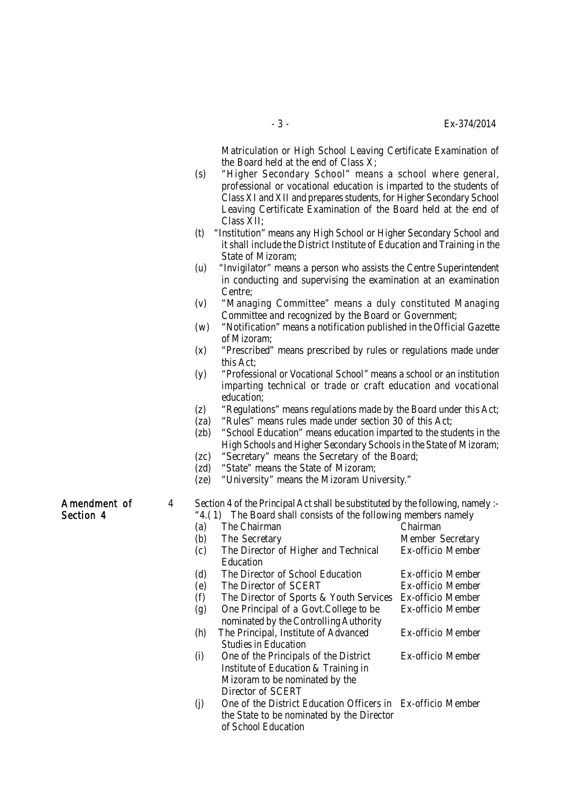Matriculation or High School Leaving Certificate Examination of the Board held at the end of Class X;

- (s) "Higher Secondary School" means a school where general, professional or vocational education is imparted to the students of Class XI and XII and prepares students, for Higher Secondary School Leaving Certificate Examination of the Board held at the end of Class XII;
- (t) "Institution" means any High School or Higher Secondary School and it shall include the District Institute of Education and Training in the State of Mizoram;
- (u) "Invigilator" means a person who assists the Centre Superintendent in conducting and supervising the examination at an examination Centre;
- (v) "Managing Committee" means a duly constituted Managing Committee and recognized by the Board or Government;
- (w) "Notification" means a notification published in the Official Gazette of Mizoram;
- (x) "Prescribed" means prescribed by rules or regulations made under this Act;
- (y) "Professional or Vocational School" means a school or an institution imparting technical or trade or craft education and vocational education;
- (z) "Regulations" means regulations made by the Board under this Act;
- (za) "Rules" means rules made under section 30 of this Act;
- (zb) "School Education" means education imparted to the students in the High Schools and Higher Secondary Schools in the State of Mizoram;
- (zc) "Secretary" means the Secretary of the Board;
- (zd) "State" means the State of Mizoram;
- (ze) "University" means the Mizoram University."
- 
- Amendment of 4 Section 4 of the Principal Act shall be substituted by the following, namely :-
- Section 4 "4.(1) The Board shall consists of the following members namely (a) The Chairman Chairman (b) The Secretary Member Secretary (c) The Director of Higher and Technical Ex-officio Member Education (d) The Director of School Education Ex-officio Member (e) The Director of SCERT Ex-officio Member (f) The Director of Sports & Youth Services Ex-officio Member (g) One Principal of a Govt.College to be Ex-officio Member nominated by the Controlling Authority (h) The Principal, Institute of Advanced Ex-officio Member Studies in Education (i) One of the Principals of the District Ex-officio Member Institute of Education & Training in Mizoram to be nominated by the Director of SCERT (j) One of the District Education Officers in Ex-officio Member the State to be nominated by the Director of School Education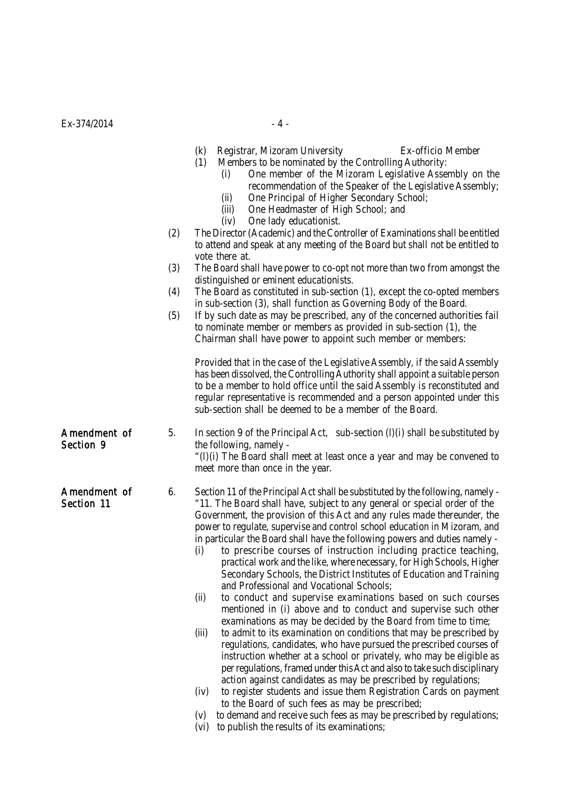|                            |     | (k)<br>Registrar, Mizoram University<br>Ex-officio Member<br>Members to be nominated by the Controlling Authority:<br>(1)<br>One member of the Mizoram Legislative Assembly on the<br>(i)<br>recommendation of the Speaker of the Legislative Assembly;<br>One Principal of Higher Secondary School;<br>(ii)<br>One Headmaster of High School; and<br>(iii)                                                                                                                                                                                                                                                                                                                                                                                                                                                                                                                                                                                                                                                                                                                                                                                                                                                                                                                                                                                                                                                                                                                           |
|----------------------------|-----|---------------------------------------------------------------------------------------------------------------------------------------------------------------------------------------------------------------------------------------------------------------------------------------------------------------------------------------------------------------------------------------------------------------------------------------------------------------------------------------------------------------------------------------------------------------------------------------------------------------------------------------------------------------------------------------------------------------------------------------------------------------------------------------------------------------------------------------------------------------------------------------------------------------------------------------------------------------------------------------------------------------------------------------------------------------------------------------------------------------------------------------------------------------------------------------------------------------------------------------------------------------------------------------------------------------------------------------------------------------------------------------------------------------------------------------------------------------------------------------|
|                            | (2) | One lady educationist.<br>(iv)<br>The Director (Academic) and the Controller of Examinations shall be entitled<br>to attend and speak at any meeting of the Board but shall not be entitled to<br>vote there at.                                                                                                                                                                                                                                                                                                                                                                                                                                                                                                                                                                                                                                                                                                                                                                                                                                                                                                                                                                                                                                                                                                                                                                                                                                                                      |
|                            | (3) | The Board shall have power to co-opt not more than two from amongst the<br>distinguished or eminent educationists.                                                                                                                                                                                                                                                                                                                                                                                                                                                                                                                                                                                                                                                                                                                                                                                                                                                                                                                                                                                                                                                                                                                                                                                                                                                                                                                                                                    |
|                            | (4) | The Board as constituted in sub-section (1), except the co-opted members<br>in sub-section (3), shall function as Governing Body of the Board.                                                                                                                                                                                                                                                                                                                                                                                                                                                                                                                                                                                                                                                                                                                                                                                                                                                                                                                                                                                                                                                                                                                                                                                                                                                                                                                                        |
|                            | (5) | If by such date as may be prescribed, any of the concerned authorities fail<br>to nominate member or members as provided in sub-section (1), the<br>Chairman shall have power to appoint such member or members:                                                                                                                                                                                                                                                                                                                                                                                                                                                                                                                                                                                                                                                                                                                                                                                                                                                                                                                                                                                                                                                                                                                                                                                                                                                                      |
|                            |     | Provided that in the case of the Legislative Assembly, if the said Assembly<br>has been dissolved, the Controlling Authority shall appoint a suitable person<br>to be a member to hold office until the said Assembly is reconstituted and<br>regular representative is recommended and a person appointed under this<br>sub-section shall be deemed to be a member of the Board.                                                                                                                                                                                                                                                                                                                                                                                                                                                                                                                                                                                                                                                                                                                                                                                                                                                                                                                                                                                                                                                                                                     |
| Amendment of<br>Section 9  | 5.  | In section 9 of the Principal Act, sub-section $(l)(i)$ shall be substituted by<br>the following, namely -<br>"(I)(i) The Board shall meet at least once a year and may be convened to<br>meet more than once in the year.                                                                                                                                                                                                                                                                                                                                                                                                                                                                                                                                                                                                                                                                                                                                                                                                                                                                                                                                                                                                                                                                                                                                                                                                                                                            |
| Amendment of<br>Section 11 | 6.  | Section 11 of the Principal Act shall be substituted by the following, namely -<br>"11. The Board shall have, subject to any general or special order of the<br>Government, the provision of this Act and any rules made thereunder, the<br>power to regulate, supervise and control school education in Mizoram, and<br>in particular the Board shall have the following powers and duties namely -<br>to prescribe courses of instruction including practice teaching,<br>(i)<br>practical work and the like, where necessary, for High Schools, Higher<br>Secondary Schools, the District Institutes of Education and Training<br>and Professional and Vocational Schools;<br>to conduct and supervise examinations based on such courses<br>(ii)<br>mentioned in (i) above and to conduct and supervise such other<br>examinations as may be decided by the Board from time to time;<br>to admit to its examination on conditions that may be prescribed by<br>(iii)<br>regulations, candidates, who have pursued the prescribed courses of<br>instruction whether at a school or privately, who may be eligible as<br>per regulations, framed under this Act and also to take such disciplinary<br>action against candidates as may be prescribed by regulations;<br>to register students and issue them Registration Cards on payment<br>(iv)<br>to the Board of such fees as may be prescribed;<br>to demand and receive such fees as may be prescribed by regulations;<br>(V) |

(vi) to publish the results of its examinations;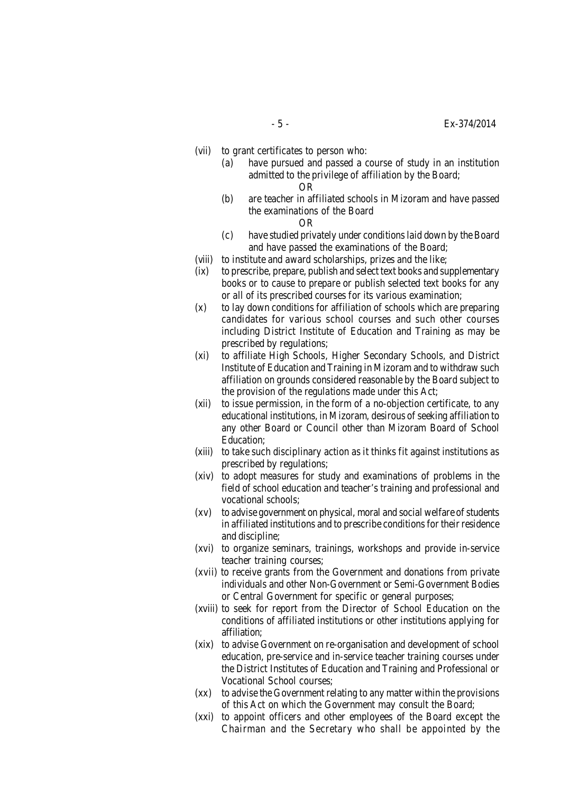- (vii) to grant certificates to person who:
	- (a) have pursued and passed a course of study in an institution admitted to the privilege of affiliation by the Board; OR
	- (b) are teacher in affiliated schools in Mizoram and have passed the examinations of the Board

OR

- (c) have studied privately under conditions laid down by the Board and have passed the examinations of the Board;
- (viii) to institute and award scholarships, prizes and the like;
- (ix) to prescribe, prepare, publish and select text books and supplementary books or to cause to prepare or publish selected text books for any or all of its prescribed courses for its various examination;
- (x) to lay down conditions for affiliation of schools which are preparing candidates for various school courses and such other courses including District Institute of Education and Training as may be prescribed by regulations;
- (xi) to affiliate High Schools, Higher Secondary Schools, and District Institute of Education and Training in Mizoram and to withdraw such affiliation on grounds considered reasonable by the Board subject to the provision of the regulations made under this Act;
- (xii) to issue permission, in the form of a no-objection certificate, to any educational institutions, in Mizoram, desirous of seeking affiliation to any other Board or Council other than Mizoram Board of School Education;
- (xiii) to take such disciplinary action as it thinks fit against institutions as prescribed by regulations;
- (xiv) to adopt measures for study and examinations of problems in the field of school education and teacher's training and professional and vocational schools;
- (xv) to advise government on physical, moral and social welfare of students in affiliated institutions and to prescribe conditions for their residence and discipline;
- (xvi) to organize seminars, trainings, workshops and provide in-service teacher training courses;
- (xvii) to receive grants from the Government and donations from private individuals and other Non-Government or Semi-Government Bodies or Central Government for specific or general purposes;
- (xviii) to seek for report from the Director of School Education on the conditions of affiliated institutions or other institutions applying for affiliation;
- (xix) to advise Government on re-organisation and development of school education, pre-service and in-service teacher training courses under the District Institutes of Education and Training and Professional or Vocational School courses;
- (xx) to advise the Government relating to any matter within the provisions of this Act on which the Government may consult the Board;
- (xxi) to appoint officers and other employees of the Board except the Chairman and the Secretary who shall be appointed by the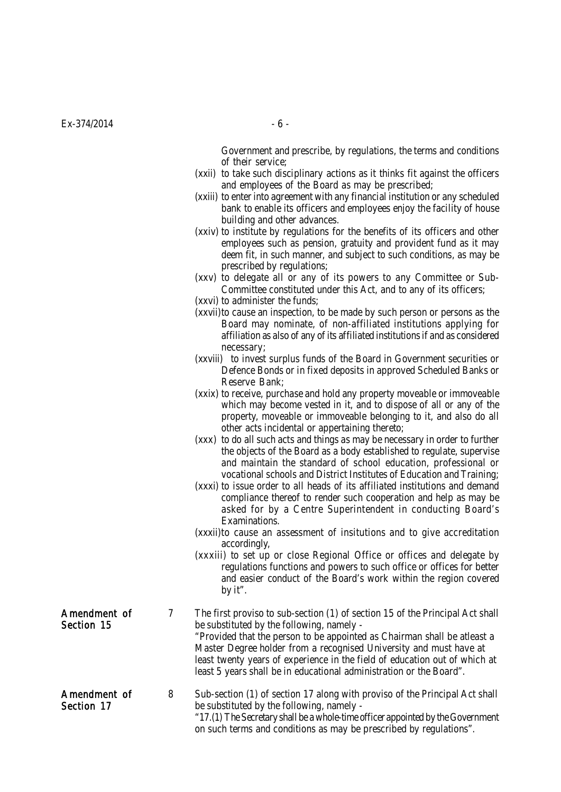Government and prescribe, by regulations, the terms and conditions of their service;

- (xxii) to take such disciplinary actions as it thinks fit against the officers and employees of the Board as may be prescribed;
- (xxiii) to enter into agreement with any financial institution or any scheduled bank to enable its officers and employees enjoy the facility of house building and other advances.
- (xxiv) to institute by regulations for the benefits of its officers and other employees such as pension, gratuity and provident fund as it may deem fit, in such manner, and subject to such conditions, as may be prescribed by regulations;
- (xxv) to delegate all or any of its powers to any Committee or Sub-Committee constituted under this Act, and to any of its officers;
- (xxvi) to administer the funds;
- (xxvii)to cause an inspection, to be made by such person or persons as the Board may nominate, of non-affiliated institutions applying for affiliation as also of any of its affiliated institutions if and as considered necessary;
- (xxviii) to invest surplus funds of the Board in Government securities or Defence Bonds or in fixed deposits in approved Scheduled Banks or Reserve Bank;
- (xxix) to receive, purchase and hold any property moveable or immoveable which may become vested in it, and to dispose of all or any of the property, moveable or immoveable belonging to it, and also do all other acts incidental or appertaining thereto;
- (xxx) to do all such acts and things as may be necessary in order to further the objects of the Board as a body established to regulate, supervise and maintain the standard of school education, professional or vocational schools and District Institutes of Education and Training;
- (xxxi) to issue order to all heads of its affiliated institutions and demand compliance thereof to render such cooperation and help as may be asked for by a Centre Superintendent in conducting Board's Examinations.
- (xxxii)to cause an assessment of insitutions and to give accreditation accordingly,
- (xxxiii) to set up or close Regional Office or offices and delegate by regulations functions and powers to such office or offices for better and easier conduct of the Board's work within the region covered by it".
- Amendment of 7 The first proviso to sub-section (1) of section 15 of the Principal Act shall Section 15 be substituted by the following, namely -"Provided that the person to be appointed as Chairman shall be atleast a Master Degree holder from a recognised University and must have at least twenty years of experience in the field of education out of which at least 5 years shall be in educational administration or the Board".

Amendment of 8 Sub-section (1) of section 17 along with proviso of the Principal Act shall Section 17 be substituted by the following, namely -"17.(1) The Secretary shall be a whole-time officer appointed by the Government on such terms and conditions as may be prescribed by regulations".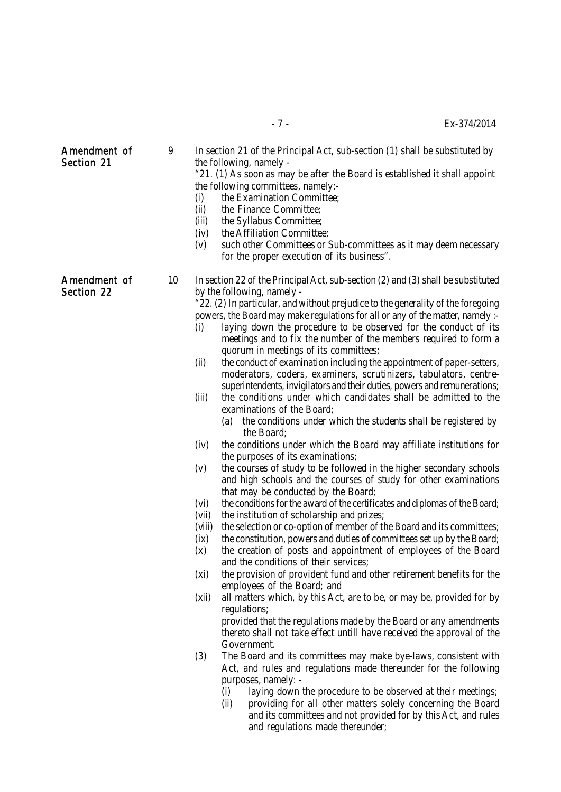| <b>SECTION ST</b>          | (i)<br>(ii)<br>(iii)<br>(v)                      | the following, namely -<br>"21. (1) As soon as may be after the Board is established it shall appoint<br>the following committees, namely:-<br>the Examination Committee;<br>the Finance Committee;<br>the Syllabus Committee;<br>(iv)<br>the Affiliation Committee;<br>such other Committees or Sub-committees as it may deem necessary<br>for the proper execution of its business".                                                                                                                                                                                                                                                                                                                                                                                                                                                                                                                                                                                                                                                                                                                                                                                                                                                                                                                                                                                                                                                                                                                                                                                                                                                                                                                                                                                                                                                                                                                                                                                                              |
|----------------------------|--------------------------------------------------|-----------------------------------------------------------------------------------------------------------------------------------------------------------------------------------------------------------------------------------------------------------------------------------------------------------------------------------------------------------------------------------------------------------------------------------------------------------------------------------------------------------------------------------------------------------------------------------------------------------------------------------------------------------------------------------------------------------------------------------------------------------------------------------------------------------------------------------------------------------------------------------------------------------------------------------------------------------------------------------------------------------------------------------------------------------------------------------------------------------------------------------------------------------------------------------------------------------------------------------------------------------------------------------------------------------------------------------------------------------------------------------------------------------------------------------------------------------------------------------------------------------------------------------------------------------------------------------------------------------------------------------------------------------------------------------------------------------------------------------------------------------------------------------------------------------------------------------------------------------------------------------------------------------------------------------------------------------------------------------------------------|
| Amendment of<br>Section 22 | 10<br>(i)<br>(ii)<br>(iii)<br>(v)<br>(x)<br>(xi) | In section 22 of the Principal Act, sub-section (2) and (3) shall be substituted<br>by the following, namely -<br>"22. (2) In particular, and without prejudice to the generality of the foregoing<br>powers, the Board may make regulations for all or any of the matter, namely :-<br>laying down the procedure to be observed for the conduct of its<br>meetings and to fix the number of the members required to form a<br>quorum in meetings of its committees;<br>the conduct of examination including the appointment of paper-setters,<br>moderators, coders, examiners, scrutinizers, tabulators, centre-<br>superintendents, invigilators and their duties, powers and remunerations;<br>the conditions under which candidates shall be admitted to the<br>examinations of the Board;<br>the conditions under which the students shall be registered by<br>(a)<br>the Board;<br>the conditions under which the Board may affiliate institutions for<br>(iv)<br>the purposes of its examinations;<br>the courses of study to be followed in the higher secondary schools<br>and high schools and the courses of study for other examinations<br>that may be conducted by the Board;<br>the conditions for the award of the certificates and diplomas of the Board;<br>(vi)<br>the institution of scholarship and prizes;<br>(vii)<br>the selection or co-option of member of the Board and its committees;<br>(viii)<br>the constitution, powers and duties of committees set up by the Board;<br>(ix)<br>the creation of posts and appointment of employees of the Board<br>and the conditions of their services;<br>the provision of provident fund and other retirement benefits for the<br>employees of the Board; and<br>(xii)<br>all matters which, by this Act, are to be, or may be, provided for by<br>regulations;<br>provided that the regulations made by the Board or any amendments<br>thereto shall not take effect untill have received the approval of the<br>Government. |
|                            | (3)                                              | The Board and its committees may make bye-laws, consistent with<br>Act, and rules and regulations made thereunder for the following<br>purposes, namely: -<br>laying down the procedure to be observed at their meetings;<br>(i)<br>(ii)<br>providing for all other matters solely concerning the Board<br>and its committees and not provided for by this Act, and rules<br>and requilations made thereunder                                                                                                                                                                                                                                                                                                                                                                                                                                                                                                                                                                                                                                                                                                                                                                                                                                                                                                                                                                                                                                                                                                                                                                                                                                                                                                                                                                                                                                                                                                                                                                                       |

Amendment of 9 In section 21 of the Principal Act, sub-section (1) shall be substituted by Section 21 and the following, namely -

- meetings and to fix the number of the members required to form a
- moderators, coders, examiners, scrutinizers, tabulators, centre-
- -
- (iv) the conditions under which the Board may affiliate institutions for
- (v) the courses of study to be followed in the higher secondary schools and high schools and the courses of study for other examinations
- 
- 
- 
- (x) the creation of posts and appointment of employees of the Board
- (xi) the provision of provident fund and other retirement benefits for the
- 

- Act, and rules and regulations made thereunder for the following
	-
	- (ii) providing for all other matters solely concerning the Board and its committees and not provided for by this Act, and rules and regulations made thereunder;